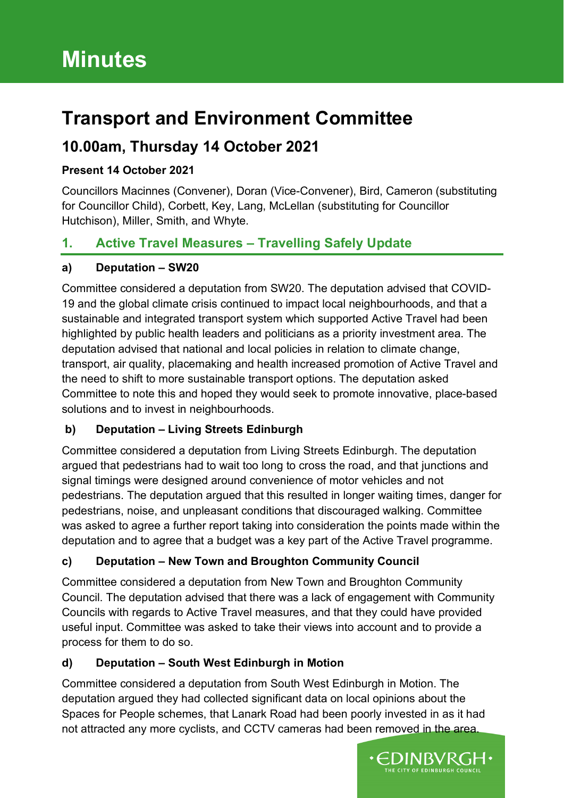# **Transport and Environment Committee**

# **10.00am, Thursday 14 October 2021**

## **Present 14 October 2021**

Councillors Macinnes (Convener), Doran (Vice-Convener), Bird, Cameron (substituting for Councillor Child), Corbett, Key, Lang, McLellan (substituting for Councillor Hutchison), Miller, Smith, and Whyte.

# **1. Active Travel Measures – Travelling Safely Update**

## **a) Deputation – SW20**

Committee considered a deputation from SW20. The deputation advised that COVID-19 and the global climate crisis continued to impact local neighbourhoods, and that a sustainable and integrated transport system which supported Active Travel had been highlighted by public health leaders and politicians as a priority investment area. The deputation advised that national and local policies in relation to climate change, transport, air quality, placemaking and health increased promotion of Active Travel and the need to shift to more sustainable transport options. The deputation asked Committee to note this and hoped they would seek to promote innovative, place-based solutions and to invest in neighbourhoods.

## **b) Deputation – Living Streets Edinburgh**

Committee considered a deputation from Living Streets Edinburgh. The deputation argued that pedestrians had to wait too long to cross the road, and that junctions and signal timings were designed around convenience of motor vehicles and not pedestrians. The deputation argued that this resulted in longer waiting times, danger for pedestrians, noise, and unpleasant conditions that discouraged walking. Committee was asked to agree a further report taking into consideration the points made within the deputation and to agree that a budget was a key part of the Active Travel programme.

## **c) Deputation – New Town and Broughton Community Council**

Committee considered a deputation from New Town and Broughton Community Council. The deputation advised that there was a lack of engagement with Community Councils with regards to Active Travel measures, and that they could have provided useful input. Committee was asked to take their views into account and to provide a process for them to do so.

## **d) Deputation – South West Edinburgh in Motion**

Committee considered a deputation from South West Edinburgh in Motion. The deputation argued they had collected significant data on local opinions about the Spaces for People schemes, that Lanark Road had been poorly invested in as it had not attracted any more cyclists, and CCTV cameras had been removed in the area.

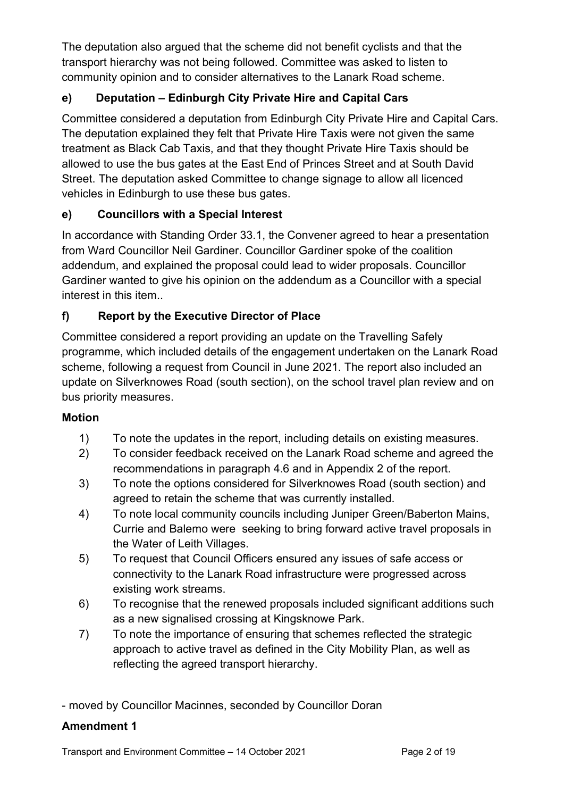The deputation also argued that the scheme did not benefit cyclists and that the transport hierarchy was not being followed. Committee was asked to listen to community opinion and to consider alternatives to the Lanark Road scheme.

## **e) Deputation – Edinburgh City Private Hire and Capital Cars**

Committee considered a deputation from Edinburgh City Private Hire and Capital Cars. The deputation explained they felt that Private Hire Taxis were not given the same treatment as Black Cab Taxis, and that they thought Private Hire Taxis should be allowed to use the bus gates at the East End of Princes Street and at South David Street. The deputation asked Committee to change signage to allow all licenced vehicles in Edinburgh to use these bus gates.

## **e) Councillors with a Special Interest**

In accordance with Standing Order 33.1, the Convener agreed to hear a presentation from Ward Councillor Neil Gardiner. Councillor Gardiner spoke of the coalition addendum, and explained the proposal could lead to wider proposals. Councillor Gardiner wanted to give his opinion on the addendum as a Councillor with a special interest in this item..

## **f) Report by the Executive Director of Place**

Committee considered a report providing an update on the Travelling Safely programme, which included details of the engagement undertaken on the Lanark Road scheme, following a request from Council in June 2021. The report also included an update on Silverknowes Road (south section), on the school travel plan review and on bus priority measures.

## **Motion**

- 1) To note the updates in the report, including details on existing measures.
- 2) To consider feedback received on the Lanark Road scheme and agreed the recommendations in paragraph 4.6 and in Appendix 2 of the report.
- 3) To note the options considered for Silverknowes Road (south section) and agreed to retain the scheme that was currently installed.
- 4) To note local community councils including Juniper Green/Baberton Mains, Currie and Balemo were seeking to bring forward active travel proposals in the Water of Leith Villages.
- 5) To request that Council Officers ensured any issues of safe access or connectivity to the Lanark Road infrastructure were progressed across existing work streams.
- 6) To recognise that the renewed proposals included significant additions such as a new signalised crossing at Kingsknowe Park.
- 7) To note the importance of ensuring that schemes reflected the strategic approach to active travel as defined in the City Mobility Plan, as well as reflecting the agreed transport hierarchy.

- moved by Councillor Macinnes, seconded by Councillor Doran

## **Amendment 1**

Transport and Environment Committee – 14 October 2021 Page 2 of 19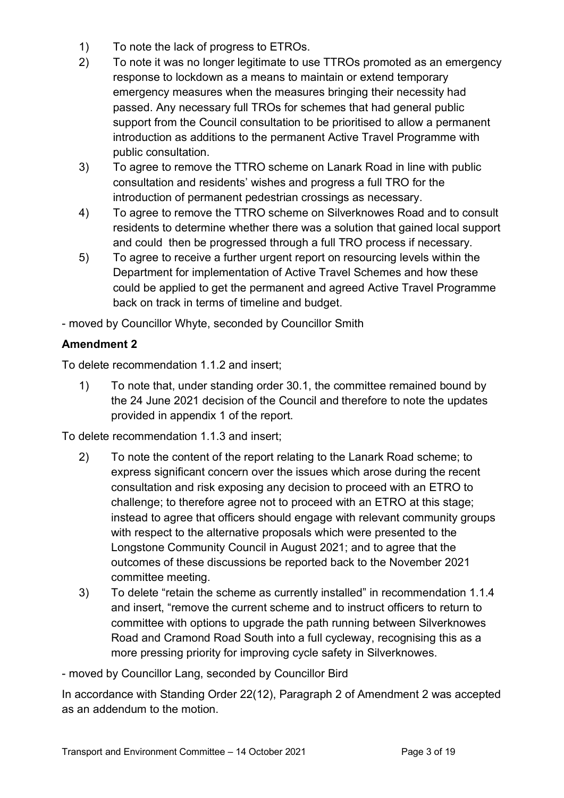- 1) To note the lack of progress to ETROs.
- 2) To note it was no longer legitimate to use TTROs promoted as an emergency response to lockdown as a means to maintain or extend temporary emergency measures when the measures bringing their necessity had passed. Any necessary full TROs for schemes that had general public support from the Council consultation to be prioritised to allow a permanent introduction as additions to the permanent Active Travel Programme with public consultation.
- 3) To agree to remove the TTRO scheme on Lanark Road in line with public consultation and residents' wishes and progress a full TRO for the introduction of permanent pedestrian crossings as necessary.
- 4) To agree to remove the TTRO scheme on Silverknowes Road and to consult residents to determine whether there was a solution that gained local support and could then be progressed through a full TRO process if necessary.
- 5) To agree to receive a further urgent report on resourcing levels within the Department for implementation of Active Travel Schemes and how these could be applied to get the permanent and agreed Active Travel Programme back on track in terms of timeline and budget.

- moved by Councillor Whyte, seconded by Councillor Smith

## **Amendment 2**

To delete recommendation 1.1.2 and insert;

1) To note that, under standing order 30.1, the committee remained bound by the 24 June 2021 decision of the Council and therefore to note the updates provided in appendix 1 of the report.

To delete recommendation 1.1.3 and insert;

- 2) To note the content of the report relating to the Lanark Road scheme; to express significant concern over the issues which arose during the recent consultation and risk exposing any decision to proceed with an ETRO to challenge; to therefore agree not to proceed with an ETRO at this stage; instead to agree that officers should engage with relevant community groups with respect to the alternative proposals which were presented to the Longstone Community Council in August 2021; and to agree that the outcomes of these discussions be reported back to the November 2021 committee meeting.
- 3) To delete "retain the scheme as currently installed" in recommendation 1.1.4 and insert, "remove the current scheme and to instruct officers to return to committee with options to upgrade the path running between Silverknowes Road and Cramond Road South into a full cycleway, recognising this as a more pressing priority for improving cycle safety in Silverknowes.

- moved by Councillor Lang, seconded by Councillor Bird

In accordance with Standing Order 22(12), Paragraph 2 of Amendment 2 was accepted as an addendum to the motion.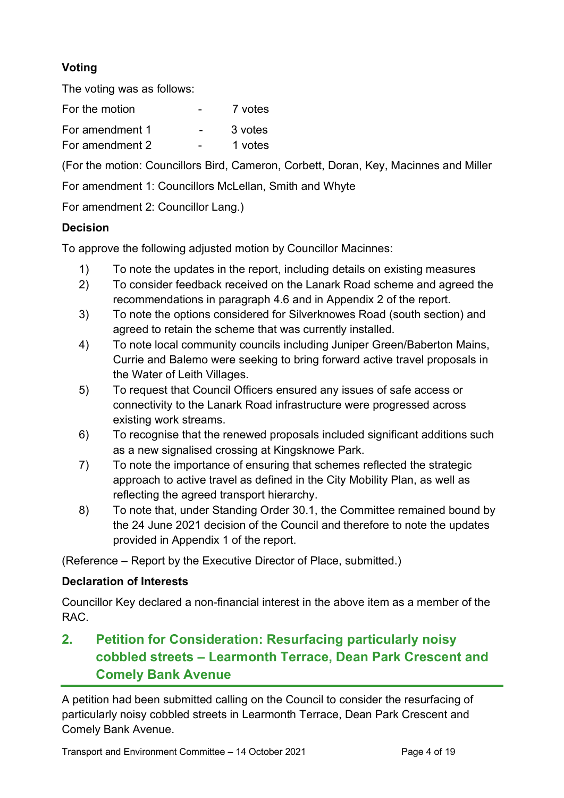## **Voting**

The voting was as follows:

For the motion - 7 votes For amendment 1 - 3 votes For amendment 2 - 1 votes

(For the motion: Councillors Bird, Cameron, Corbett, Doran, Key, Macinnes and Miller

For amendment 1: Councillors McLellan, Smith and Whyte

For amendment 2: Councillor Lang.)

## **Decision**

To approve the following adjusted motion by Councillor Macinnes:

- 1) To note the updates in the report, including details on existing measures
- 2) To consider feedback received on the Lanark Road scheme and agreed the recommendations in paragraph 4.6 and in Appendix 2 of the report.
- 3) To note the options considered for Silverknowes Road (south section) and agreed to retain the scheme that was currently installed.
- 4) To note local community councils including Juniper Green/Baberton Mains, Currie and Balemo were seeking to bring forward active travel proposals in the Water of Leith Villages.
- 5) To request that Council Officers ensured any issues of safe access or connectivity to the Lanark Road infrastructure were progressed across existing work streams.
- 6) To recognise that the renewed proposals included significant additions such as a new signalised crossing at Kingsknowe Park.
- 7) To note the importance of ensuring that schemes reflected the strategic approach to active travel as defined in the City Mobility Plan, as well as reflecting the agreed transport hierarchy.
- 8) To note that, under Standing Order 30.1, the Committee remained bound by the 24 June 2021 decision of the Council and therefore to note the updates provided in Appendix 1 of the report.

(Reference – Report by the Executive Director of Place, submitted.)

#### **Declaration of Interests**

Councillor Key declared a non-financial interest in the above item as a member of the RAC.

# **2. Petition for Consideration: Resurfacing particularly noisy cobbled streets – Learmonth Terrace, Dean Park Crescent and Comely Bank Avenue**

A petition had been submitted calling on the Council to consider the resurfacing of particularly noisy cobbled streets in Learmonth Terrace, Dean Park Crescent and Comely Bank Avenue.

Transport and Environment Committee – 14 October 2021 Page 4 of 19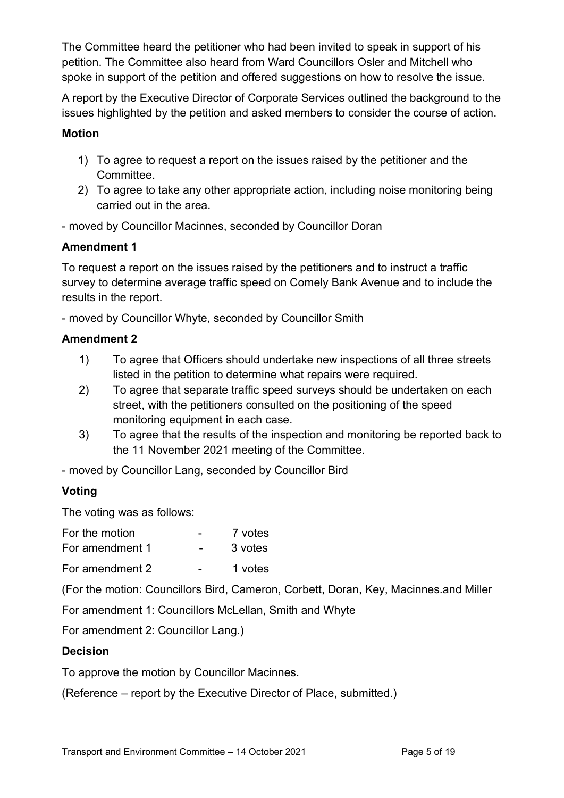The Committee heard the petitioner who had been invited to speak in support of his petition. The Committee also heard from Ward Councillors Osler and Mitchell who spoke in support of the petition and offered suggestions on how to resolve the issue.

A report by the Executive Director of Corporate Services outlined the background to the issues highlighted by the petition and asked members to consider the course of action.

#### **Motion**

- 1) To agree to request a report on the issues raised by the petitioner and the Committee.
- 2) To agree to take any other appropriate action, including noise monitoring being carried out in the area.

- moved by Councillor Macinnes, seconded by Councillor Doran

#### **Amendment 1**

To request a report on the issues raised by the petitioners and to instruct a traffic survey to determine average traffic speed on Comely Bank Avenue and to include the results in the report.

- moved by Councillor Whyte, seconded by Councillor Smith

#### **Amendment 2**

- 1) To agree that Officers should undertake new inspections of all three streets listed in the petition to determine what repairs were required.
- 2) To agree that separate traffic speed surveys should be undertaken on each street, with the petitioners consulted on the positioning of the speed monitoring equipment in each case.
- 3) To agree that the results of the inspection and monitoring be reported back to the 11 November 2021 meeting of the Committee.
- moved by Councillor Lang, seconded by Councillor Bird

## **Voting**

The voting was as follows:

| For the motion | 7 votes |
|----------------|---------|
|                |         |

| For amendment 1 | 3 votes |
|-----------------|---------|
|                 |         |

For amendment 2 - 1 votes

(For the motion: Councillors Bird, Cameron, Corbett, Doran, Key, Macinnes.and Miller

For amendment 1: Councillors McLellan, Smith and Whyte

For amendment 2: Councillor Lang.)

#### **Decision**

To approve the motion by Councillor Macinnes.

(Reference – report by the Executive Director of Place, submitted.)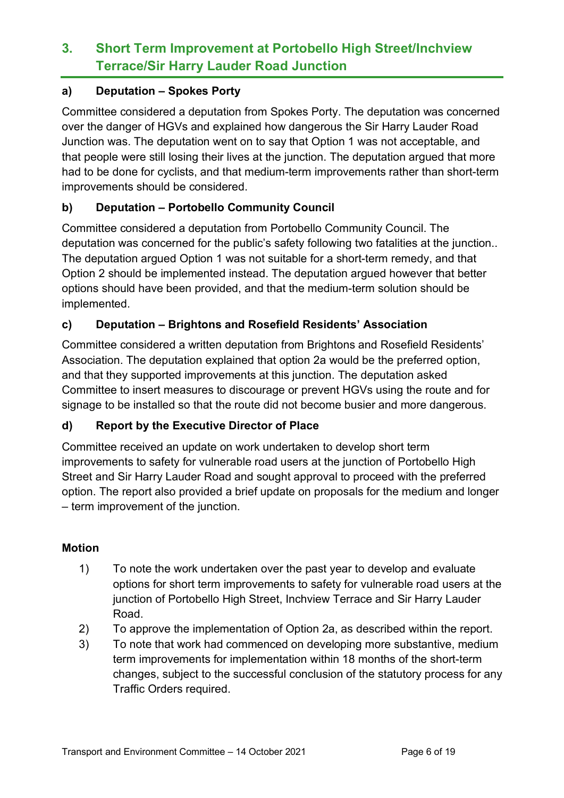# **3. Short Term Improvement at Portobello High Street/Inchview Terrace/Sir Harry Lauder Road Junction**

#### **a) Deputation – Spokes Porty**

Committee considered a deputation from Spokes Porty. The deputation was concerned over the danger of HGVs and explained how dangerous the Sir Harry Lauder Road Junction was. The deputation went on to say that Option 1 was not acceptable, and that people were still losing their lives at the junction. The deputation argued that more had to be done for cyclists, and that medium-term improvements rather than short-term improvements should be considered.

## **b) Deputation – Portobello Community Council**

Committee considered a deputation from Portobello Community Council. The deputation was concerned for the public's safety following two fatalities at the junction.. The deputation argued Option 1 was not suitable for a short-term remedy, and that Option 2 should be implemented instead. The deputation argued however that better options should have been provided, and that the medium-term solution should be implemented.

## **c) Deputation – Brightons and Rosefield Residents' Association**

Committee considered a written deputation from Brightons and Rosefield Residents' Association. The deputation explained that option 2a would be the preferred option, and that they supported improvements at this junction. The deputation asked Committee to insert measures to discourage or prevent HGVs using the route and for signage to be installed so that the route did not become busier and more dangerous.

## **d) Report by the Executive Director of Place**

Committee received an update on work undertaken to develop short term improvements to safety for vulnerable road users at the junction of Portobello High Street and Sir Harry Lauder Road and sought approval to proceed with the preferred option. The report also provided a brief update on proposals for the medium and longer – term improvement of the junction.

#### **Motion**

- 1) To note the work undertaken over the past year to develop and evaluate options for short term improvements to safety for vulnerable road users at the junction of Portobello High Street, Inchview Terrace and Sir Harry Lauder Road.
- 2) To approve the implementation of Option 2a, as described within the report.
- 3) To note that work had commenced on developing more substantive, medium term improvements for implementation within 18 months of the short-term changes, subject to the successful conclusion of the statutory process for any Traffic Orders required.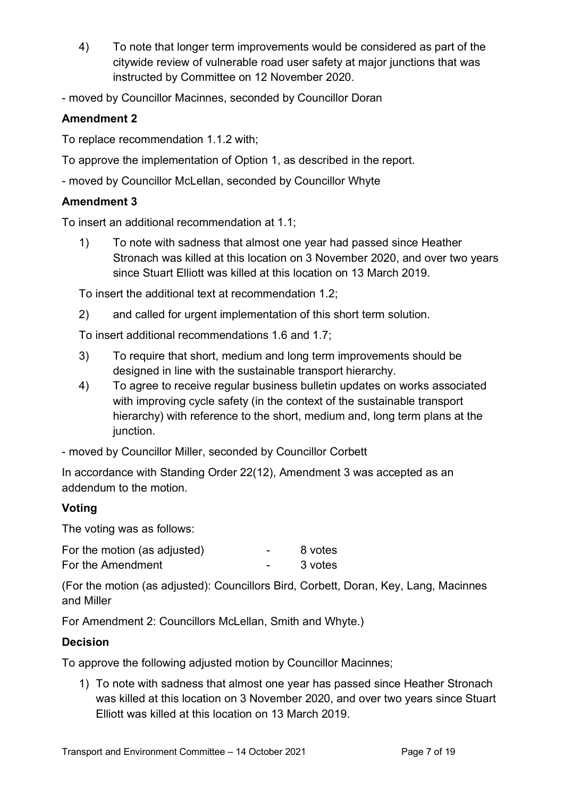- 4) To note that longer term improvements would be considered as part of the citywide review of vulnerable road user safety at major junctions that was instructed by Committee on 12 November 2020.
- moved by Councillor Macinnes, seconded by Councillor Doran

## **Amendment 2**

To replace recommendation 1.1.2 with;

- To approve the implementation of Option 1, as described in the report.
- moved by Councillor McLellan, seconded by Councillor Whyte

#### **Amendment 3**

To insert an additional recommendation at 1.1;

1) To note with sadness that almost one year had passed since Heather Stronach was killed at this location on 3 November 2020, and over two years since Stuart Elliott was killed at this location on 13 March 2019.

To insert the additional text at recommendation 1.2;

2) and called for urgent implementation of this short term solution.

To insert additional recommendations 1.6 and 1.7;

- 3) To require that short, medium and long term improvements should be designed in line with the sustainable transport hierarchy.
- 4) To agree to receive regular business bulletin updates on works associated with improving cycle safety (in the context of the sustainable transport hierarchy) with reference to the short, medium and, long term plans at the junction.

- moved by Councillor Miller, seconded by Councillor Corbett

In accordance with Standing Order 22(12), Amendment 3 was accepted as an addendum to the motion.

## **Voting**

The voting was as follows:

| For the motion (as adjusted) | 8 votes |
|------------------------------|---------|
| For the Amendment            | 3 votes |

(For the motion (as adjusted): Councillors Bird, Corbett, Doran, Key, Lang, Macinnes and Miller

For Amendment 2: Councillors McLellan, Smith and Whyte.)

## **Decision**

To approve the following adjusted motion by Councillor Macinnes;

1) To note with sadness that almost one year has passed since Heather Stronach was killed at this location on 3 November 2020, and over two years since Stuart Elliott was killed at this location on 13 March 2019.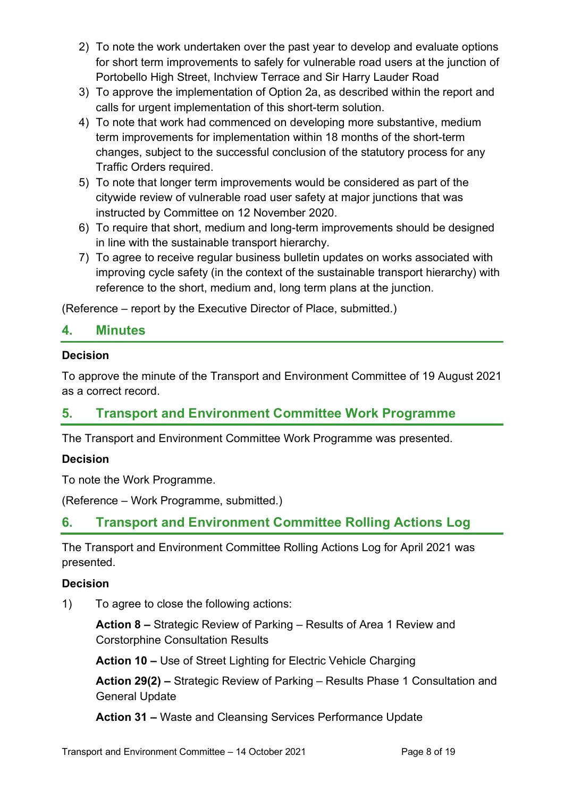- 2) To note the work undertaken over the past year to develop and evaluate options for short term improvements to safely for vulnerable road users at the junction of Portobello High Street, Inchview Terrace and Sir Harry Lauder Road
- 3) To approve the implementation of Option 2a, as described within the report and calls for urgent implementation of this short-term solution.
- 4) To note that work had commenced on developing more substantive, medium term improvements for implementation within 18 months of the short-term changes, subject to the successful conclusion of the statutory process for any Traffic Orders required.
- 5) To note that longer term improvements would be considered as part of the citywide review of vulnerable road user safety at major junctions that was instructed by Committee on 12 November 2020.
- 6) To require that short, medium and long-term improvements should be designed in line with the sustainable transport hierarchy.
- 7) To agree to receive regular business bulletin updates on works associated with improving cycle safety (in the context of the sustainable transport hierarchy) with reference to the short, medium and, long term plans at the junction.

(Reference – report by the Executive Director of Place, submitted.)

## **4. Minutes**

#### **Decision**

To approve the minute of the Transport and Environment Committee of 19 August 2021 as a correct record.

## **5. Transport and Environment Committee Work Programme**

The Transport and Environment Committee Work Programme was presented.

#### **Decision**

To note the Work Programme.

(Reference – Work Programme, submitted.)

## **6. Transport and Environment Committee Rolling Actions Log**

The Transport and Environment Committee Rolling Actions Log for April 2021 was presented.

#### **Decision**

1) To agree to close the following actions:

**Action 8 –** Strategic Review of Parking – Results of Area 1 Review and Corstorphine Consultation Results

**Action 10 –** Use of Street Lighting for Electric Vehicle Charging

**Action 29(2) –** Strategic Review of Parking – Results Phase 1 Consultation and General Update

**Action 31 –** Waste and Cleansing Services Performance Update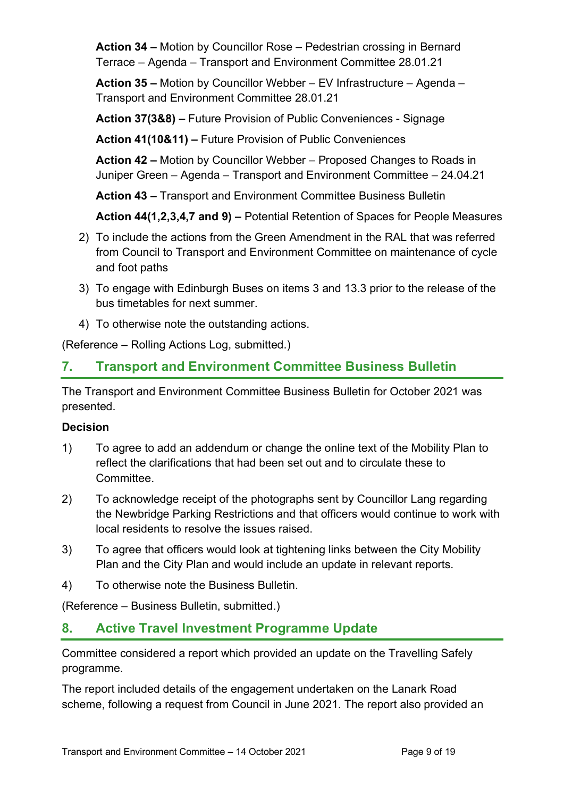**Action 34 –** Motion by Councillor Rose – Pedestrian crossing in Bernard Terrace – Agenda – Transport and Environment Committee 28.01.21

**Action 35 –** Motion by Councillor Webber – EV Infrastructure – Agenda – Transport and Environment Committee 28.01.21

**Action 37(3&8) –** Future Provision of Public Conveniences - Signage

**Action 41(10&11) –** Future Provision of Public Conveniences

**Action 42 –** Motion by Councillor Webber – Proposed Changes to Roads in Juniper Green – Agenda – Transport and Environment Committee – 24.04.21

**Action 43 –** Transport and Environment Committee Business Bulletin

**Action 44(1,2,3,4,7 and 9) –** Potential Retention of Spaces for People Measures

- 2) To include the actions from the Green Amendment in the RAL that was referred from Council to Transport and Environment Committee on maintenance of cycle and foot paths
- 3) To engage with Edinburgh Buses on items 3 and 13.3 prior to the release of the bus timetables for next summer.
- 4) To otherwise note the outstanding actions.

(Reference – Rolling Actions Log, submitted.)

# **7. Transport and Environment Committee Business Bulletin**

The Transport and Environment Committee Business Bulletin for October 2021 was presented.

## **Decision**

- 1) To agree to add an addendum or change the online text of the Mobility Plan to reflect the clarifications that had been set out and to circulate these to Committee.
- 2) To acknowledge receipt of the photographs sent by Councillor Lang regarding the Newbridge Parking Restrictions and that officers would continue to work with local residents to resolve the issues raised.
- 3) To agree that officers would look at tightening links between the City Mobility Plan and the City Plan and would include an update in relevant reports.
- 4) To otherwise note the Business Bulletin.

(Reference – Business Bulletin, submitted.)

## **8. Active Travel Investment Programme Update**

Committee considered a report which provided an update on the Travelling Safely programme.

The report included details of the engagement undertaken on the Lanark Road scheme, following a request from Council in June 2021. The report also provided an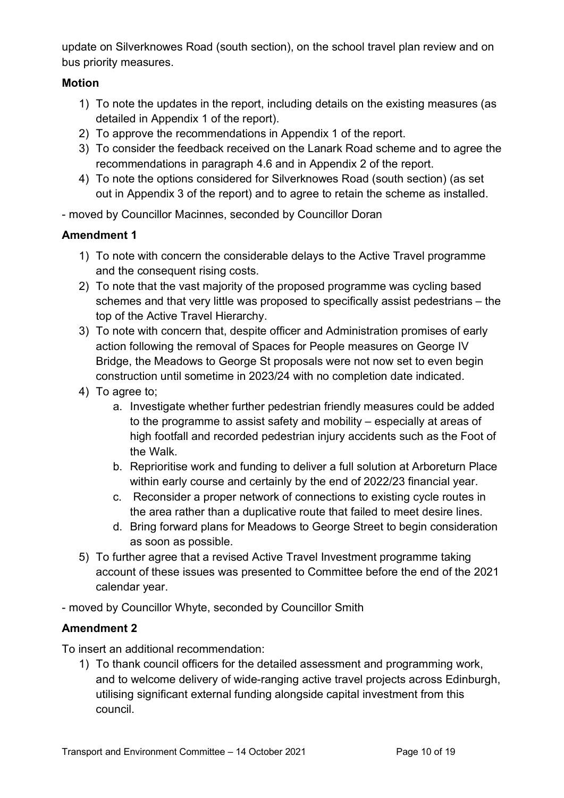update on Silverknowes Road (south section), on the school travel plan review and on bus priority measures.

#### **Motion**

- 1) To note the updates in the report, including details on the existing measures (as detailed in Appendix 1 of the report).
- 2) To approve the recommendations in Appendix 1 of the report.
- 3) To consider the feedback received on the Lanark Road scheme and to agree the recommendations in paragraph 4.6 and in Appendix 2 of the report.
- 4) To note the options considered for Silverknowes Road (south section) (as set out in Appendix 3 of the report) and to agree to retain the scheme as installed.
- moved by Councillor Macinnes, seconded by Councillor Doran

## **Amendment 1**

- 1) To note with concern the considerable delays to the Active Travel programme and the consequent rising costs.
- 2) To note that the vast majority of the proposed programme was cycling based schemes and that very little was proposed to specifically assist pedestrians – the top of the Active Travel Hierarchy.
- 3) To note with concern that, despite officer and Administration promises of early action following the removal of Spaces for People measures on George IV Bridge, the Meadows to George St proposals were not now set to even begin construction until sometime in 2023/24 with no completion date indicated.
- 4) To agree to;
	- a. Investigate whether further pedestrian friendly measures could be added to the programme to assist safety and mobility – especially at areas of high footfall and recorded pedestrian injury accidents such as the Foot of the Walk.
	- b. Reprioritise work and funding to deliver a full solution at Arboreturn Place within early course and certainly by the end of 2022/23 financial year.
	- c. Reconsider a proper network of connections to existing cycle routes in the area rather than a duplicative route that failed to meet desire lines.
	- d. Bring forward plans for Meadows to George Street to begin consideration as soon as possible.
- 5) To further agree that a revised Active Travel Investment programme taking account of these issues was presented to Committee before the end of the 2021 calendar year.
- moved by Councillor Whyte, seconded by Councillor Smith

## **Amendment 2**

To insert an additional recommendation:

1) To thank council officers for the detailed assessment and programming work, and to welcome delivery of wide-ranging active travel projects across Edinburgh, utilising significant external funding alongside capital investment from this council.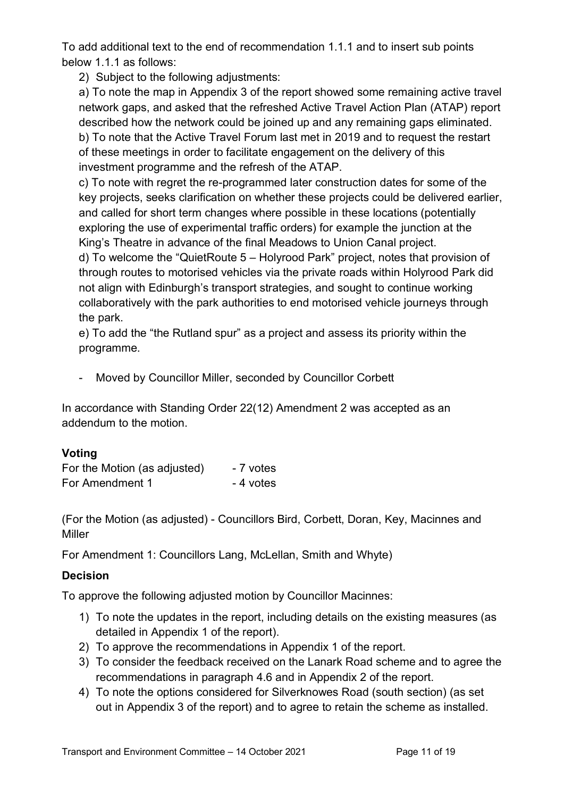To add additional text to the end of recommendation 1.1.1 and to insert sub points below 1.1.1 as follows:

2) Subject to the following adjustments:

a) To note the map in Appendix 3 of the report showed some remaining active travel network gaps, and asked that the refreshed Active Travel Action Plan (ATAP) report described how the network could be joined up and any remaining gaps eliminated. b) To note that the Active Travel Forum last met in 2019 and to request the restart of these meetings in order to facilitate engagement on the delivery of this investment programme and the refresh of the ATAP.

c) To note with regret the re-programmed later construction dates for some of the key projects, seeks clarification on whether these projects could be delivered earlier, and called for short term changes where possible in these locations (potentially exploring the use of experimental traffic orders) for example the junction at the King's Theatre in advance of the final Meadows to Union Canal project.

d) To welcome the "QuietRoute 5 – Holyrood Park" project, notes that provision of through routes to motorised vehicles via the private roads within Holyrood Park did not align with Edinburgh's transport strategies, and sought to continue working collaboratively with the park authorities to end motorised vehicle journeys through the park.

e) To add the "the Rutland spur" as a project and assess its priority within the programme.

- Moved by Councillor Miller, seconded by Councillor Corbett

In accordance with Standing Order 22(12) Amendment 2 was accepted as an addendum to the motion.

#### **Voting**

| For the Motion (as adjusted) | - 7 votes |
|------------------------------|-----------|
| For Amendment 1              | - 4 votes |

(For the Motion (as adjusted) - Councillors Bird, Corbett, Doran, Key, Macinnes and Miller

For Amendment 1: Councillors Lang, McLellan, Smith and Whyte)

## **Decision**

To approve the following adjusted motion by Councillor Macinnes:

- 1) To note the updates in the report, including details on the existing measures (as detailed in Appendix 1 of the report).
- 2) To approve the recommendations in Appendix 1 of the report.
- 3) To consider the feedback received on the Lanark Road scheme and to agree the recommendations in paragraph 4.6 and in Appendix 2 of the report.
- 4) To note the options considered for Silverknowes Road (south section) (as set out in Appendix 3 of the report) and to agree to retain the scheme as installed.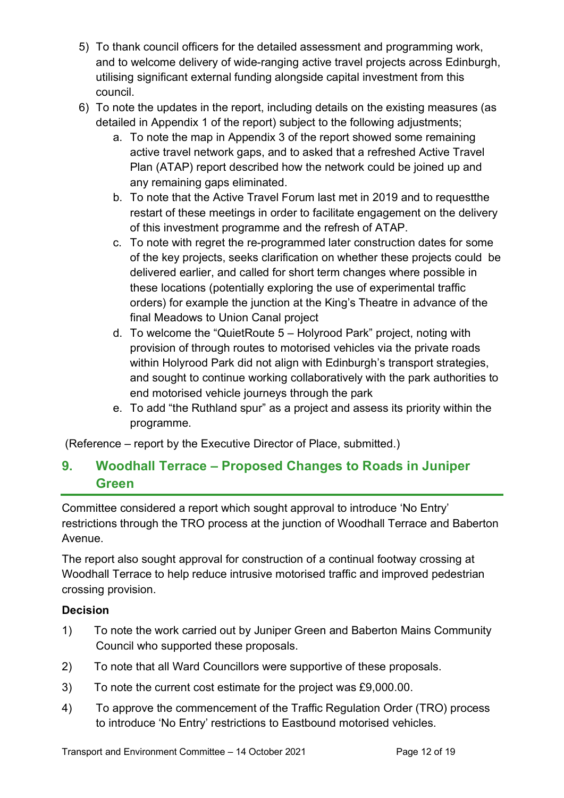- 5) To thank council officers for the detailed assessment and programming work, and to welcome delivery of wide-ranging active travel projects across Edinburgh, utilising significant external funding alongside capital investment from this council.
- 6) To note the updates in the report, including details on the existing measures (as detailed in Appendix 1 of the report) subject to the following adjustments;
	- a. To note the map in Appendix 3 of the report showed some remaining active travel network gaps, and to asked that a refreshed Active Travel Plan (ATAP) report described how the network could be joined up and any remaining gaps eliminated.
	- b. To note that the Active Travel Forum last met in 2019 and to requestthe restart of these meetings in order to facilitate engagement on the delivery of this investment programme and the refresh of ATAP.
	- c. To note with regret the re-programmed later construction dates for some of the key projects, seeks clarification on whether these projects could be delivered earlier, and called for short term changes where possible in these locations (potentially exploring the use of experimental traffic orders) for example the junction at the King's Theatre in advance of the final Meadows to Union Canal project
	- d. To welcome the "QuietRoute 5 Holyrood Park" project, noting with provision of through routes to motorised vehicles via the private roads within Holyrood Park did not align with Edinburgh's transport strategies, and sought to continue working collaboratively with the park authorities to end motorised vehicle journeys through the park
	- e. To add "the Ruthland spur" as a project and assess its priority within the programme.

(Reference – report by the Executive Director of Place, submitted.)

# **9. Woodhall Terrace – Proposed Changes to Roads in Juniper Green**

Committee considered a report which sought approval to introduce 'No Entry' restrictions through the TRO process at the junction of Woodhall Terrace and Baberton Avenue.

The report also sought approval for construction of a continual footway crossing at Woodhall Terrace to help reduce intrusive motorised traffic and improved pedestrian crossing provision.

## **Decision**

- 1) To note the work carried out by Juniper Green and Baberton Mains Community Council who supported these proposals.
- 2) To note that all Ward Councillors were supportive of these proposals.
- 3) To note the current cost estimate for the project was £9,000.00.
- 4) To approve the commencement of the Traffic Regulation Order (TRO) process to introduce 'No Entry' restrictions to Eastbound motorised vehicles.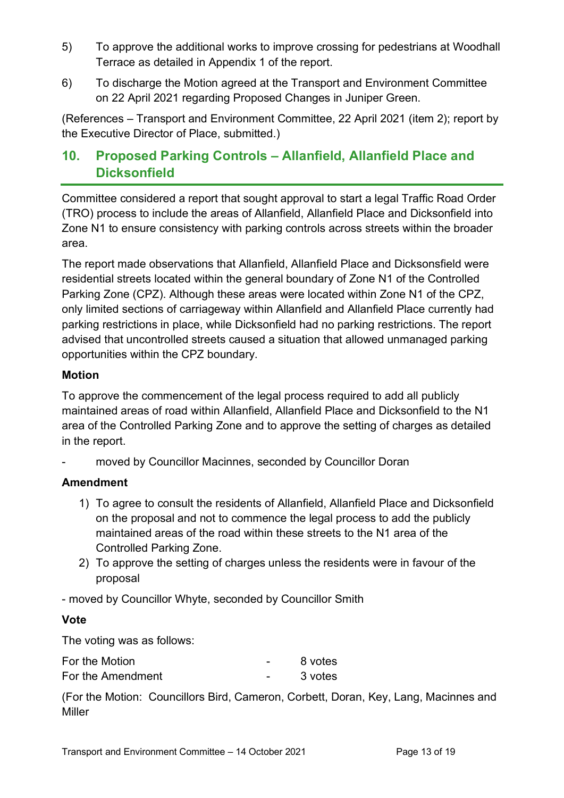- 5) To approve the additional works to improve crossing for pedestrians at Woodhall Terrace as detailed in Appendix 1 of the report.
- 6) To discharge the Motion agreed at the Transport and Environment Committee on 22 April 2021 regarding Proposed Changes in Juniper Green.

(References – Transport and Environment Committee, 22 April 2021 (item 2); report by the Executive Director of Place, submitted.)

# **10. Proposed Parking Controls – Allanfield, Allanfield Place and Dicksonfield**

Committee considered a report that sought approval to start a legal Traffic Road Order (TRO) process to include the areas of Allanfield, Allanfield Place and Dicksonfield into Zone N1 to ensure consistency with parking controls across streets within the broader area.

The report made observations that Allanfield, Allanfield Place and Dicksonsfield were residential streets located within the general boundary of Zone N1 of the Controlled Parking Zone (CPZ). Although these areas were located within Zone N1 of the CPZ, only limited sections of carriageway within Allanfield and Allanfield Place currently had parking restrictions in place, while Dicksonfield had no parking restrictions. The report advised that uncontrolled streets caused a situation that allowed unmanaged parking opportunities within the CPZ boundary.

#### **Motion**

To approve the commencement of the legal process required to add all publicly maintained areas of road within Allanfield, Allanfield Place and Dicksonfield to the N1 area of the Controlled Parking Zone and to approve the setting of charges as detailed in the report.

moved by Councillor Macinnes, seconded by Councillor Doran

## **Amendment**

- 1) To agree to consult the residents of Allanfield, Allanfield Place and Dicksonfield on the proposal and not to commence the legal process to add the publicly maintained areas of the road within these streets to the N1 area of the Controlled Parking Zone.
- 2) To approve the setting of charges unless the residents were in favour of the proposal

- moved by Councillor Whyte, seconded by Councillor Smith

#### **Vote**

The voting was as follows:

| For the Motion    | 8 votes |
|-------------------|---------|
| For the Amendment | 3 votes |

(For the Motion: Councillors Bird, Cameron, Corbett, Doran, Key, Lang, Macinnes and Miller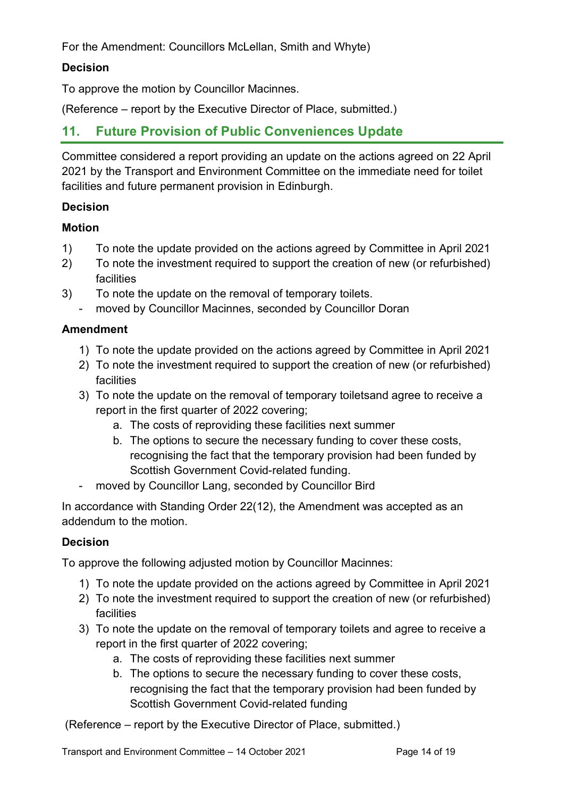For the Amendment: Councillors McLellan, Smith and Whyte)

#### **Decision**

To approve the motion by Councillor Macinnes.

(Reference – report by the Executive Director of Place, submitted.)

## **11. Future Provision of Public Conveniences Update**

Committee considered a report providing an update on the actions agreed on 22 April 2021 by the Transport and Environment Committee on the immediate need for toilet facilities and future permanent provision in Edinburgh.

#### **Decision**

## **Motion**

- 1) To note the update provided on the actions agreed by Committee in April 2021
- 2) To note the investment required to support the creation of new (or refurbished) facilities
- 3) To note the update on the removal of temporary toilets.
	- moved by Councillor Macinnes, seconded by Councillor Doran

#### **Amendment**

- 1) To note the update provided on the actions agreed by Committee in April 2021
- 2) To note the investment required to support the creation of new (or refurbished) facilities
- 3) To note the update on the removal of temporary toiletsand agree to receive a report in the first quarter of 2022 covering;
	- a. The costs of reproviding these facilities next summer
	- b. The options to secure the necessary funding to cover these costs, recognising the fact that the temporary provision had been funded by Scottish Government Covid-related funding.
- moved by Councillor Lang, seconded by Councillor Bird

In accordance with Standing Order 22(12), the Amendment was accepted as an addendum to the motion.

#### **Decision**

To approve the following adjusted motion by Councillor Macinnes:

- 1) To note the update provided on the actions agreed by Committee in April 2021
- 2) To note the investment required to support the creation of new (or refurbished) facilities
- 3) To note the update on the removal of temporary toilets and agree to receive a report in the first quarter of 2022 covering;
	- a. The costs of reproviding these facilities next summer
	- b. The options to secure the necessary funding to cover these costs, recognising the fact that the temporary provision had been funded by Scottish Government Covid-related funding

(Reference – report by the Executive Director of Place, submitted.)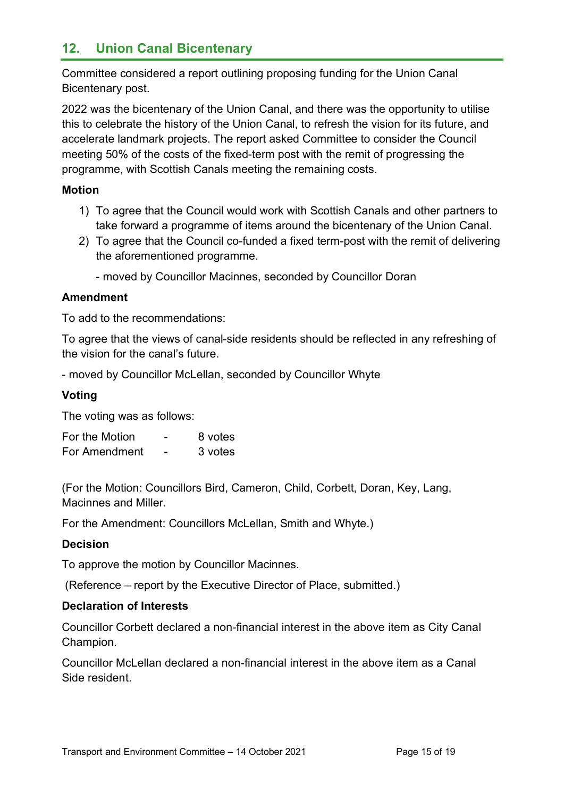# **12. Union Canal Bicentenary**

Committee considered a report outlining proposing funding for the Union Canal Bicentenary post.

2022 was the bicentenary of the Union Canal, and there was the opportunity to utilise this to celebrate the history of the Union Canal, to refresh the vision for its future, and accelerate landmark projects. The report asked Committee to consider the Council meeting 50% of the costs of the fixed-term post with the remit of progressing the programme, with Scottish Canals meeting the remaining costs.

#### **Motion**

- 1) To agree that the Council would work with Scottish Canals and other partners to take forward a programme of items around the bicentenary of the Union Canal.
- 2) To agree that the Council co-funded a fixed term-post with the remit of delivering the aforementioned programme.
	- moved by Councillor Macinnes, seconded by Councillor Doran

#### **Amendment**

To add to the recommendations:

To agree that the views of canal-side residents should be reflected in any refreshing of the vision for the canal's future.

- moved by Councillor McLellan, seconded by Councillor Whyte

#### **Voting**

The voting was as follows:

| For the Motion | - | 8 votes |
|----------------|---|---------|
| For Amendment  | - | 3 votes |

(For the Motion: Councillors Bird, Cameron, Child, Corbett, Doran, Key, Lang, Macinnes and Miller.

For the Amendment: Councillors McLellan, Smith and Whyte.)

#### **Decision**

To approve the motion by Councillor Macinnes.

(Reference – report by the Executive Director of Place, submitted.)

#### **Declaration of Interests**

Councillor Corbett declared a non-financial interest in the above item as City Canal Champion.

Councillor McLellan declared a non-financial interest in the above item as a Canal Side resident.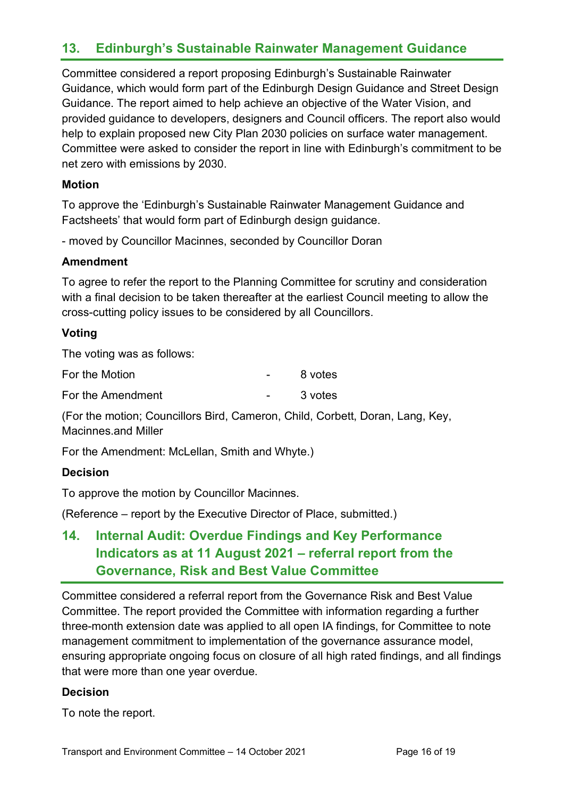# **13. Edinburgh's Sustainable Rainwater Management Guidance**

Committee considered a report proposing Edinburgh's Sustainable Rainwater Guidance, which would form part of the Edinburgh Design Guidance and Street Design Guidance. The report aimed to help achieve an objective of the Water Vision, and provided guidance to developers, designers and Council officers. The report also would help to explain proposed new City Plan 2030 policies on surface water management. Committee were asked to consider the report in line with Edinburgh's commitment to be net zero with emissions by 2030.

#### **Motion**

To approve the 'Edinburgh's Sustainable Rainwater Management Guidance and Factsheets' that would form part of Edinburgh design guidance.

- moved by Councillor Macinnes, seconded by Councillor Doran

#### **Amendment**

To agree to refer the report to the Planning Committee for scrutiny and consideration with a final decision to be taken thereafter at the earliest Council meeting to allow the cross-cutting policy issues to be considered by all Councillors.

#### **Voting**

The voting was as follows:

| For the Motion    | 8 votes |
|-------------------|---------|
| For the Amendment | 3 votes |

(For the motion; Councillors Bird, Cameron, Child, Corbett, Doran, Lang, Key, Macinnes.and Miller

For the Amendment: McLellan, Smith and Whyte.)

#### **Decision**

To approve the motion by Councillor Macinnes.

(Reference – report by the Executive Director of Place, submitted.)

# **14. Internal Audit: Overdue Findings and Key Performance Indicators as at 11 August 2021 – referral report from the Governance, Risk and Best Value Committee**

Committee considered a referral report from the Governance Risk and Best Value Committee. The report provided the Committee with information regarding a further three-month extension date was applied to all open IA findings, for Committee to note management commitment to implementation of the governance assurance model, ensuring appropriate ongoing focus on closure of all high rated findings, and all findings that were more than one year overdue.

#### **Decision**

To note the report.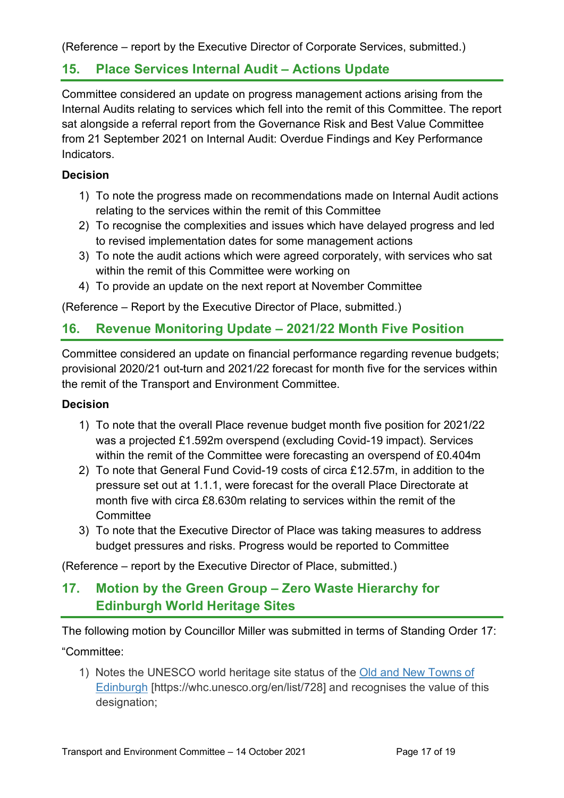(Reference – report by the Executive Director of Corporate Services, submitted.)

## **15. Place Services Internal Audit – Actions Update**

Committee considered an update on progress management actions arising from the Internal Audits relating to services which fell into the remit of this Committee. The report sat alongside a referral report from the Governance Risk and Best Value Committee from 21 September 2021 on Internal Audit: Overdue Findings and Key Performance **Indicators** 

#### **Decision**

- 1) To note the progress made on recommendations made on Internal Audit actions relating to the services within the remit of this Committee
- 2) To recognise the complexities and issues which have delayed progress and led to revised implementation dates for some management actions
- 3) To note the audit actions which were agreed corporately, with services who sat within the remit of this Committee were working on
- 4) To provide an update on the next report at November Committee

(Reference – Report by the Executive Director of Place, submitted.)

# **16. Revenue Monitoring Update – 2021/22 Month Five Position**

Committee considered an update on financial performance regarding revenue budgets; provisional 2020/21 out-turn and 2021/22 forecast for month five for the services within the remit of the Transport and Environment Committee.

#### **Decision**

- 1) To note that the overall Place revenue budget month five position for 2021/22 was a projected £1.592m overspend (excluding Covid-19 impact). Services within the remit of the Committee were forecasting an overspend of £0.404m
- 2) To note that General Fund Covid-19 costs of circa £12.57m, in addition to the pressure set out at 1.1.1, were forecast for the overall Place Directorate at month five with circa £8.630m relating to services within the remit of the **Committee**
- 3) To note that the Executive Director of Place was taking measures to address budget pressures and risks. Progress would be reported to Committee

(Reference – report by the Executive Director of Place, submitted.)

# **17. Motion by the Green Group – Zero Waste Hierarchy for Edinburgh World Heritage Sites**

The following motion by Councillor Miller was submitted in terms of Standing Order 17:

"Committee:

1) Notes the UNESCO world heritage site status of the [Old and New Towns of](https://whc.unesco.org/en/list/728)  [Edinburgh](https://whc.unesco.org/en/list/728) [https://whc.unesco.org/en/list/728] and recognises the value of this designation;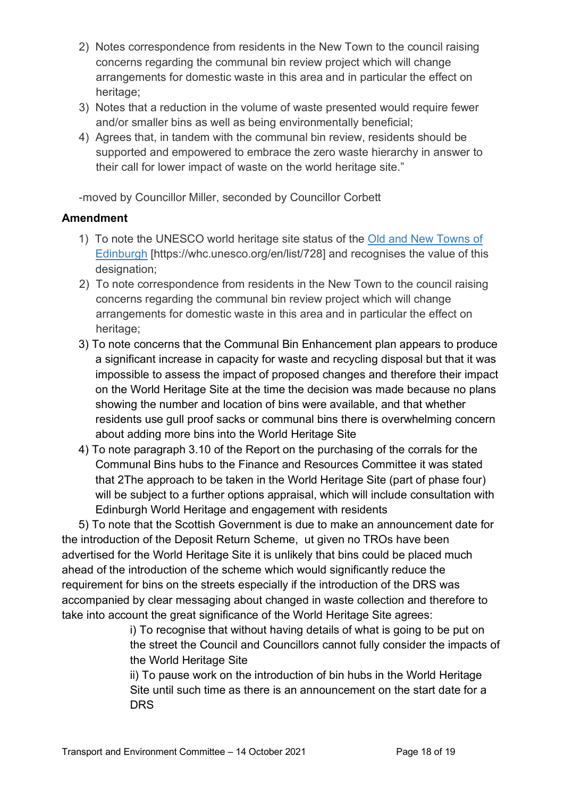- 2) Notes correspondence from residents in the New Town to the council raising concerns regarding the communal bin review project which will change arrangements for domestic waste in this area and in particular the effect on heritage:
- 3) Notes that a reduction in the volume of waste presented would require fewer and/or smaller bins as well as being environmentally beneficial;
- 4) Agrees that, in tandem with the communal bin review, residents should be supported and empowered to embrace the zero waste hierarchy in answer to their call for lower impact of waste on the world heritage site."

-moved by Councillor Miller, seconded by Councillor Corbett

#### **Amendment**

- 1) To note the UNESCO world heritage site status of the [Old and New Towns of](https://whc.unesco.org/en/list/728)  [Edinburgh](https://whc.unesco.org/en/list/728) [https://whc.unesco.org/en/list/728] and recognises the value of this designation;
- 2) To note correspondence from residents in the New Town to the council raising concerns regarding the communal bin review project which will change arrangements for domestic waste in this area and in particular the effect on heritage;
- 3) To note concerns that the Communal Bin Enhancement plan appears to produce a significant increase in capacity for waste and recycling disposal but that it was impossible to assess the impact of proposed changes and therefore their impact on the World Heritage Site at the time the decision was made because no plans showing the number and location of bins were available, and that whether residents use gull proof sacks or communal bins there is overwhelming concern about adding more bins into the World Heritage Site
- 4) To note paragraph 3.10 of the Report on the purchasing of the corrals for the Communal Bins hubs to the Finance and Resources Committee it was stated that 2The approach to be taken in the World Heritage Site (part of phase four) will be subject to a further options appraisal, which will include consultation with Edinburgh World Heritage and engagement with residents

5) To note that the Scottish Government is due to make an announcement date for the introduction of the Deposit Return Scheme, ut given no TROs have been advertised for the World Heritage Site it is unlikely that bins could be placed much ahead of the introduction of the scheme which would significantly reduce the requirement for bins on the streets especially if the introduction of the DRS was accompanied by clear messaging about changed in waste collection and therefore to take into account the great significance of the World Heritage Site agrees:

> i) To recognise that without having details of what is going to be put on the street the Council and Councillors cannot fully consider the impacts of the World Heritage Site

ii) To pause work on the introduction of bin hubs in the World Heritage Site until such time as there is an announcement on the start date for a DRS